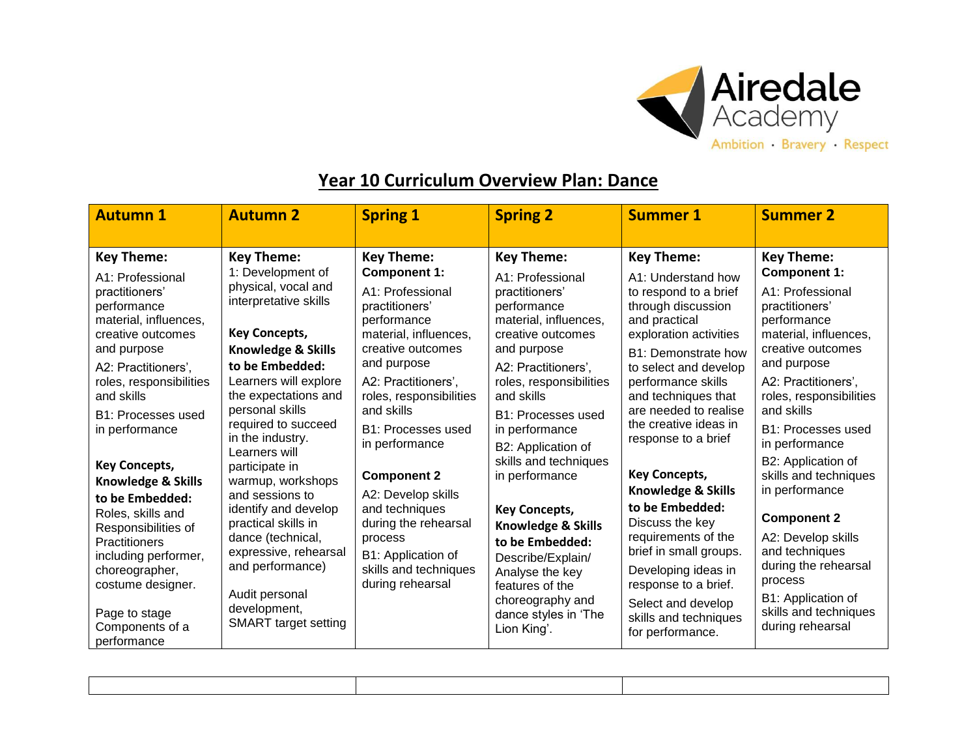

## **Year 10 Curriculum Overview Plan: Dance**

| <b>Autumn 1</b>                                                                                                                                                                                                                                                                                                                                                                                                                                                                                               | <b>Autumn 2</b>                                                                                                                                                                                                                                                                                                                                                                                                                                                                                                                                | <b>Spring 1</b>                                                                                                                                                                                                                                                                                                                                                                                                                               | <b>Spring 2</b>                                                                                                                                                                                                                                                                                                                                                                                                                                                                                     | <b>Summer 1</b>                                                                                                                                                                                                                                                                                                                                                                                                                                                                                                                                                | <b>Summer 2</b>                                                                                                                                                                                                                                                                                                                                                                                                                                                                                         |
|---------------------------------------------------------------------------------------------------------------------------------------------------------------------------------------------------------------------------------------------------------------------------------------------------------------------------------------------------------------------------------------------------------------------------------------------------------------------------------------------------------------|------------------------------------------------------------------------------------------------------------------------------------------------------------------------------------------------------------------------------------------------------------------------------------------------------------------------------------------------------------------------------------------------------------------------------------------------------------------------------------------------------------------------------------------------|-----------------------------------------------------------------------------------------------------------------------------------------------------------------------------------------------------------------------------------------------------------------------------------------------------------------------------------------------------------------------------------------------------------------------------------------------|-----------------------------------------------------------------------------------------------------------------------------------------------------------------------------------------------------------------------------------------------------------------------------------------------------------------------------------------------------------------------------------------------------------------------------------------------------------------------------------------------------|----------------------------------------------------------------------------------------------------------------------------------------------------------------------------------------------------------------------------------------------------------------------------------------------------------------------------------------------------------------------------------------------------------------------------------------------------------------------------------------------------------------------------------------------------------------|---------------------------------------------------------------------------------------------------------------------------------------------------------------------------------------------------------------------------------------------------------------------------------------------------------------------------------------------------------------------------------------------------------------------------------------------------------------------------------------------------------|
| <b>Key Theme:</b><br>A1: Professional<br>practitioners'<br>performance<br>material, influences,<br>creative outcomes<br>and purpose<br>A2: Practitioners',<br>roles, responsibilities<br>and skills<br>B1: Processes used<br>in performance<br><b>Key Concepts,</b><br><b>Knowledge &amp; Skills</b><br>to be Embedded:<br>Roles, skills and<br>Responsibilities of<br><b>Practitioners</b><br>including performer,<br>choreographer,<br>costume designer.<br>Page to stage<br>Components of a<br>performance | <b>Key Theme:</b><br>1: Development of<br>physical, vocal and<br>interpretative skills<br><b>Key Concepts,</b><br><b>Knowledge &amp; Skills</b><br>to be Embedded:<br>Learners will explore<br>the expectations and<br>personal skills<br>required to succeed<br>in the industry.<br>Learners will<br>participate in<br>warmup, workshops<br>and sessions to<br>identify and develop<br>practical skills in<br>dance (technical,<br>expressive, rehearsal<br>and performance)<br>Audit personal<br>development,<br><b>SMART</b> target setting | <b>Key Theme:</b><br><b>Component 1:</b><br>A1: Professional<br>practitioners'<br>performance<br>material, influences,<br>creative outcomes<br>and purpose<br>A2: Practitioners',<br>roles, responsibilities<br>and skills<br><b>B1: Processes used</b><br>in performance<br><b>Component 2</b><br>A2: Develop skills<br>and techniques<br>during the rehearsal<br>process<br>B1: Application of<br>skills and techniques<br>during rehearsal | <b>Key Theme:</b><br>A1: Professional<br>practitioners'<br>performance<br>material, influences,<br>creative outcomes<br>and purpose<br>A2: Practitioners',<br>roles, responsibilities<br>and skills<br>B1: Processes used<br>in performance<br>B2: Application of<br>skills and techniques<br>in performance<br><b>Key Concepts,</b><br>Knowledge & Skills<br>to be Embedded:<br>Describe/Explain/<br>Analyse the key<br>features of the<br>choreography and<br>dance styles in 'The<br>Lion King'. | <b>Key Theme:</b><br>A1: Understand how<br>to respond to a brief<br>through discussion<br>and practical<br>exploration activities<br>B1: Demonstrate how<br>to select and develop<br>performance skills<br>and techniques that<br>are needed to realise<br>the creative ideas in<br>response to a brief<br><b>Key Concepts,</b><br>Knowledge & Skills<br>to be Embedded:<br>Discuss the key<br>requirements of the<br>brief in small groups.<br>Developing ideas in<br>response to a brief.<br>Select and develop<br>skills and techniques<br>for performance. | <b>Key Theme:</b><br><b>Component 1:</b><br>A1: Professional<br>practitioners'<br>performance<br>material, influences,<br>creative outcomes<br>and purpose<br>A2: Practitioners',<br>roles, responsibilities<br>and skills<br>B1: Processes used<br>in performance<br>B2: Application of<br>skills and techniques<br>in performance<br><b>Component 2</b><br>A2: Develop skills<br>and techniques<br>during the rehearsal<br>process<br>B1: Application of<br>skills and techniques<br>during rehearsal |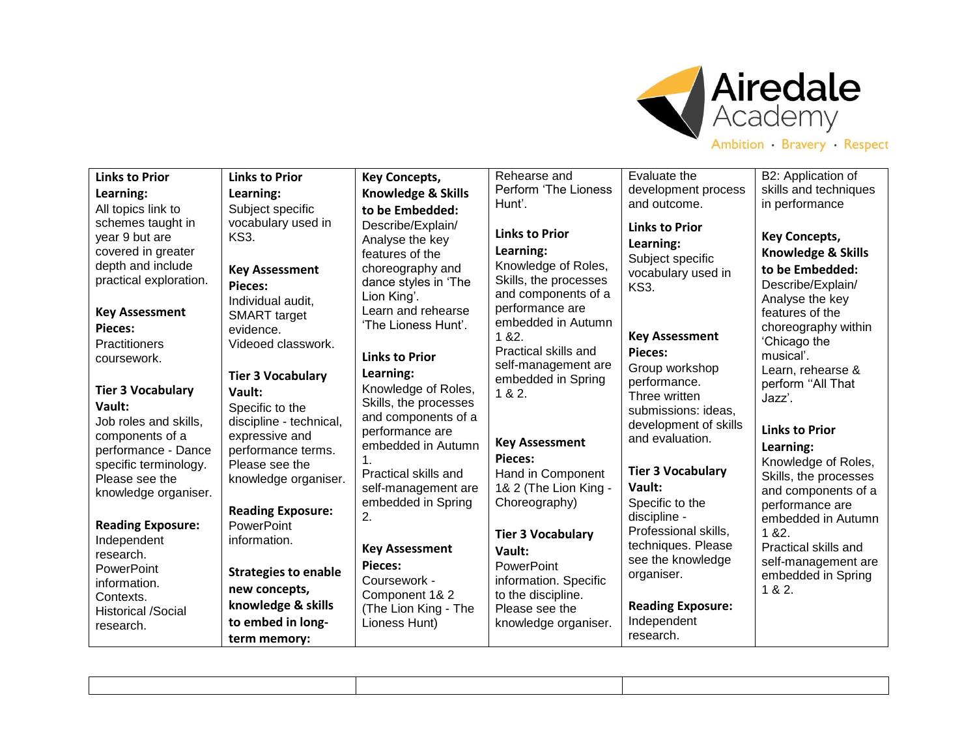

| <b>Links to Prior</b>                                                                                                                                                        | <b>Links to Prior</b>                                                                                                                                                            | <b>Key Concepts,</b>                                                                                                                                                                                  | Rehearse and                                                                                                                                                                                               | Evaluate the                                                                                                                                      | B2: Application of                                                                                                                                                                                           |
|------------------------------------------------------------------------------------------------------------------------------------------------------------------------------|----------------------------------------------------------------------------------------------------------------------------------------------------------------------------------|-------------------------------------------------------------------------------------------------------------------------------------------------------------------------------------------------------|------------------------------------------------------------------------------------------------------------------------------------------------------------------------------------------------------------|---------------------------------------------------------------------------------------------------------------------------------------------------|--------------------------------------------------------------------------------------------------------------------------------------------------------------------------------------------------------------|
| Learning:                                                                                                                                                                    | Learning:                                                                                                                                                                        | <b>Knowledge &amp; Skills</b>                                                                                                                                                                         | Perform 'The Lioness                                                                                                                                                                                       | development process                                                                                                                               | skills and techniques                                                                                                                                                                                        |
| All topics link to                                                                                                                                                           | Subject specific                                                                                                                                                                 | to be Embedded:                                                                                                                                                                                       | Hunt'.                                                                                                                                                                                                     | and outcome.                                                                                                                                      | in performance                                                                                                                                                                                               |
| schemes taught in<br>year 9 but are<br>covered in greater<br>depth and include<br>practical exploration.<br><b>Key Assessment</b><br>Pieces:<br>Practitioners<br>coursework. | vocabulary used in<br>KS3.<br><b>Key Assessment</b><br><b>Pieces:</b><br>Individual audit,<br><b>SMART</b> target<br>evidence.<br>Videoed classwork.<br><b>Tier 3 Vocabulary</b> | Describe/Explain/<br>Analyse the key<br>features of the<br>choreography and<br>dance styles in 'The<br>Lion King'.<br>Learn and rehearse<br>'The Lioness Hunt'.<br><b>Links to Prior</b><br>Learning: | <b>Links to Prior</b><br>Learning:<br>Knowledge of Roles,<br>Skills, the processes<br>and components of a<br>performance are<br>embedded in Autumn<br>18.2.<br>Practical skills and<br>self-management are | <b>Links to Prior</b><br>Learning:<br>Subject specific<br>vocabulary used in<br>KS3.<br><b>Key Assessment</b><br><b>Pieces:</b><br>Group workshop | <b>Key Concepts,</b><br><b>Knowledge &amp; Skills</b><br>to be Embedded:<br>Describe/Explain/<br>Analyse the key<br>features of the<br>choreography within<br>'Chicago the<br>musical'.<br>Learn, rehearse & |
| <b>Tier 3 Vocabulary</b>                                                                                                                                                     | Vault:                                                                                                                                                                           | Knowledge of Roles,                                                                                                                                                                                   | embedded in Spring<br>1 & 8 & 2.                                                                                                                                                                           | performance.<br>Three written                                                                                                                     | perform "All That<br>Jazz'.                                                                                                                                                                                  |
| Vault:                                                                                                                                                                       | Specific to the                                                                                                                                                                  | Skills, the processes                                                                                                                                                                                 |                                                                                                                                                                                                            | submissions: ideas,                                                                                                                               |                                                                                                                                                                                                              |
| Job roles and skills,<br>components of a<br>performance - Dance<br>specific terminology.<br>Please see the<br>knowledge organiser.                                           | discipline - technical,<br>expressive and<br>performance terms.<br>Please see the<br>knowledge organiser.<br><b>Reading Exposure:</b>                                            | and components of a<br>performance are<br>embedded in Autumn<br>$\mathbf 1$ .<br>Practical skills and<br>self-management are<br>embedded in Spring<br>2.                                              | <b>Key Assessment</b><br>Pieces:<br>Hand in Component<br>1& 2 (The Lion King -<br>Choreography)                                                                                                            | development of skills<br>and evaluation.<br><b>Tier 3 Vocabulary</b><br>Vault:<br>Specific to the<br>discipline -                                 | <b>Links to Prior</b><br>Learning:<br>Knowledge of Roles,<br>Skills, the processes<br>and components of a<br>performance are<br>embedded in Autumn                                                           |
| <b>Reading Exposure:</b>                                                                                                                                                     | PowerPoint                                                                                                                                                                       |                                                                                                                                                                                                       | <b>Tier 3 Vocabulary</b>                                                                                                                                                                                   | Professional skills,                                                                                                                              | 1 & 82.                                                                                                                                                                                                      |
| Independent<br>research.<br><b>PowerPoint</b>                                                                                                                                | information.<br><b>Strategies to enable</b>                                                                                                                                      | <b>Key Assessment</b><br><b>Pieces:</b>                                                                                                                                                               | Vault:<br><b>PowerPoint</b>                                                                                                                                                                                | techniques. Please<br>see the knowledge<br>organiser.                                                                                             | Practical skills and<br>self-management are<br>embedded in Spring                                                                                                                                            |
| information.                                                                                                                                                                 | new concepts,                                                                                                                                                                    | Coursework -<br>Component 1& 2                                                                                                                                                                        | information. Specific<br>to the discipline.                                                                                                                                                                |                                                                                                                                                   | 1 & 8 & 2.                                                                                                                                                                                                   |
| Contexts.<br><b>Historical /Social</b>                                                                                                                                       | knowledge & skills                                                                                                                                                               | (The Lion King - The                                                                                                                                                                                  | Please see the                                                                                                                                                                                             | <b>Reading Exposure:</b>                                                                                                                          |                                                                                                                                                                                                              |
| research.                                                                                                                                                                    | to embed in long-                                                                                                                                                                | Lioness Hunt)                                                                                                                                                                                         | knowledge organiser.                                                                                                                                                                                       | Independent                                                                                                                                       |                                                                                                                                                                                                              |
|                                                                                                                                                                              | term memory:                                                                                                                                                                     |                                                                                                                                                                                                       |                                                                                                                                                                                                            | research.                                                                                                                                         |                                                                                                                                                                                                              |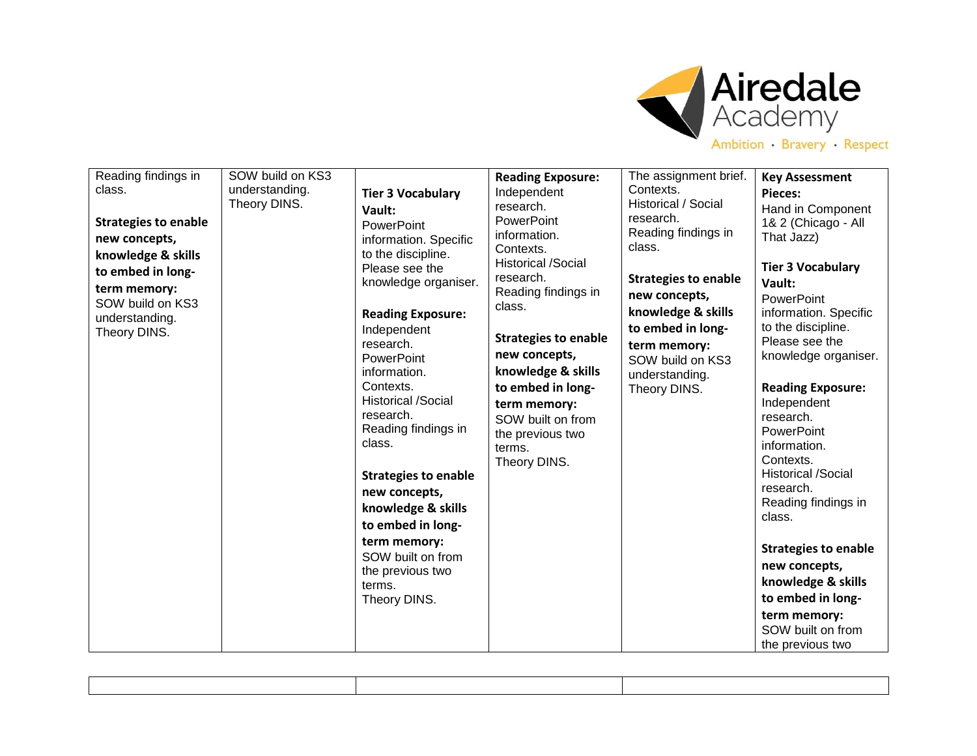

| class.<br><b>Strategies to enable</b><br>new concepts,<br>knowledge & skills<br>to embed in long-<br>term memory:<br>SOW build on KS3<br>understanding.<br>Theory DINS. | understanding.<br>Theory DINS. | <b>Tier 3 Vocabulary</b><br>Vault:<br>PowerPoint<br>information. Specific<br>to the discipline.<br>Please see the<br>knowledge organiser.<br><b>Reading Exposure:</b><br>Independent<br>research.<br><b>PowerPoint</b><br>information.<br>Contexts.<br><b>Historical /Social</b><br>research.<br>Reading findings in<br>class.<br><b>Strategies to enable</b><br>new concepts,<br>knowledge & skills<br>to embed in long-<br>term memory:<br>SOW built on from<br>the previous two<br>terms.<br>Theory DINS. | <b>Reading Exposure:</b><br>Independent<br>research.<br><b>PowerPoint</b><br>information.<br>Contexts.<br><b>Historical /Social</b><br>research.<br>Reading findings in<br>class.<br><b>Strategies to enable</b><br>new concepts,<br>knowledge & skills<br>to embed in long-<br>term memory:<br>SOW built on from<br>the previous two<br>terms.<br>Theory DINS. | The assignment brief.<br>Contexts.<br>Historical / Social<br>research.<br>Reading findings in<br>class.<br><b>Strategies to enable</b><br>new concepts,<br>knowledge & skills<br>to embed in long-<br>term memory:<br>SOW build on KS3<br>understanding.<br>Theory DINS. | <b>Key Assessment</b><br>Pieces:<br>Hand in Component<br>1& 2 (Chicago - All<br>That Jazz)<br><b>Tier 3 Vocabulary</b><br>Vault:<br><b>PowerPoint</b><br>information. Specific<br>to the discipline.<br>Please see the<br>knowledge organiser.<br><b>Reading Exposure:</b><br>Independent<br>research.<br><b>PowerPoint</b><br>information.<br>Contexts.<br><b>Historical /Social</b><br>research.<br>Reading findings in<br>class.<br><b>Strategies to enable</b><br>new concepts,<br>knowledge & skills<br>to embed in long-<br>term memory:<br>SOW built on from<br>the previous two |
|-------------------------------------------------------------------------------------------------------------------------------------------------------------------------|--------------------------------|--------------------------------------------------------------------------------------------------------------------------------------------------------------------------------------------------------------------------------------------------------------------------------------------------------------------------------------------------------------------------------------------------------------------------------------------------------------------------------------------------------------|-----------------------------------------------------------------------------------------------------------------------------------------------------------------------------------------------------------------------------------------------------------------------------------------------------------------------------------------------------------------|--------------------------------------------------------------------------------------------------------------------------------------------------------------------------------------------------------------------------------------------------------------------------|-----------------------------------------------------------------------------------------------------------------------------------------------------------------------------------------------------------------------------------------------------------------------------------------------------------------------------------------------------------------------------------------------------------------------------------------------------------------------------------------------------------------------------------------------------------------------------------------|
|-------------------------------------------------------------------------------------------------------------------------------------------------------------------------|--------------------------------|--------------------------------------------------------------------------------------------------------------------------------------------------------------------------------------------------------------------------------------------------------------------------------------------------------------------------------------------------------------------------------------------------------------------------------------------------------------------------------------------------------------|-----------------------------------------------------------------------------------------------------------------------------------------------------------------------------------------------------------------------------------------------------------------------------------------------------------------------------------------------------------------|--------------------------------------------------------------------------------------------------------------------------------------------------------------------------------------------------------------------------------------------------------------------------|-----------------------------------------------------------------------------------------------------------------------------------------------------------------------------------------------------------------------------------------------------------------------------------------------------------------------------------------------------------------------------------------------------------------------------------------------------------------------------------------------------------------------------------------------------------------------------------------|